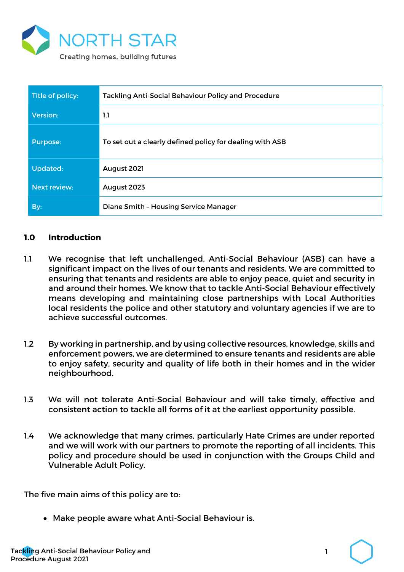

| Title of policy:    | <b>Tackling Anti-Social Behaviour Policy and Procedure</b> |
|---------------------|------------------------------------------------------------|
| Version:            | 1.1                                                        |
| Purpose:            | To set out a clearly defined policy for dealing with ASB   |
| <b>Updated:</b>     | August 2021                                                |
| <b>Next review:</b> | August 2023                                                |
| By:                 | <b>Diane Smith - Housing Service Manager</b>               |

#### 1.0 Introduction

- 1.1 We recognise that left unchallenged, Anti-Social Behaviour (ASB) can have a significant impact on the lives of our tenants and residents. We are committed to ensuring that tenants and residents are able to enjoy peace, quiet and security in and around their homes. We know that to tackle Anti-Social Behaviour effectively means developing and maintaining close partnerships with Local Authorities local residents the police and other statutory and voluntary agencies if we are to achieve successful outcomes.
- 1.2 By working in partnership, and by using collective resources, knowledge, skills and enforcement powers, we are determined to ensure tenants and residents are able to enjoy safety, security and quality of life both in their homes and in the wider neighbourhood.
- 1.3 We will not tolerate Anti-Social Behaviour and will take timely, effective and consistent action to tackle all forms of it at the earliest opportunity possible.
- 1.4 We acknowledge that many crimes, particularly Hate Crimes are under reported and we will work with our partners to promote the reporting of all incidents. This policy and procedure should be used in conjunction with the Groups Child and Vulnerable Adult Policy.

The five main aims of this policy are to:

Make people aware what Anti-Social Behaviour is.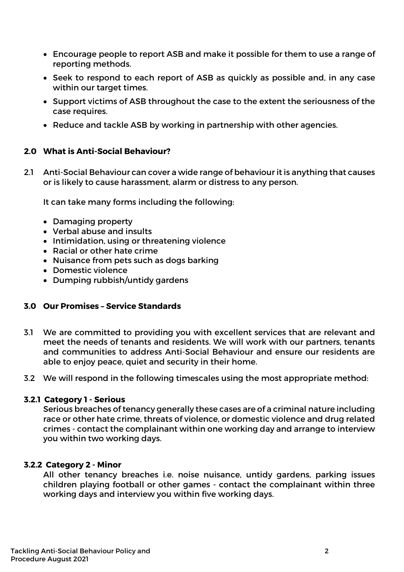- Encourage people to report ASB and make it possible for them to use a range of reporting methods.
- Seek to respond to each report of ASB as quickly as possible and, in any case within our target times.
- Support victims of ASB throughout the case to the extent the seriousness of the case requires.
- Reduce and tackle ASB by working in partnership with other agencies.

## 2.0 What is Anti-Social Behaviour?

2.1 Anti-Social Behaviour can cover a wide range of behaviour it is anything that causes or is likely to cause harassment, alarm or distress to any person.

It can take many forms including the following:

- Damaging property
- Verbal abuse and insults
- Intimidation, using or threatening violence
- Racial or other hate crime
- Nuisance from pets such as dogs barking
- Domestic violence
- Dumping rubbish/untidy gardens

## 3.0 Our Promises – Service Standards

- 3.1 We are committed to providing you with excellent services that are relevant and meet the needs of tenants and residents. We will work with our partners, tenants and communities to address Anti-Social Behaviour and ensure our residents are able to enjoy peace, quiet and security in their home.
- 3.2 We will respond in the following timescales using the most appropriate method:

#### 3.2.1 Category 1 - Serious

Serious breaches of tenancy generally these cases are of a criminal nature including race or other hate crime, threats of violence, or domestic violence and drug related crimes - contact the complainant within one working day and arrange to interview you within two working days.

## 3.2.2 Category 2 - Minor

All other tenancy breaches i.e. noise nuisance, untidy gardens, parking issues children playing football or other games - contact the complainant within three working days and interview you within five working days.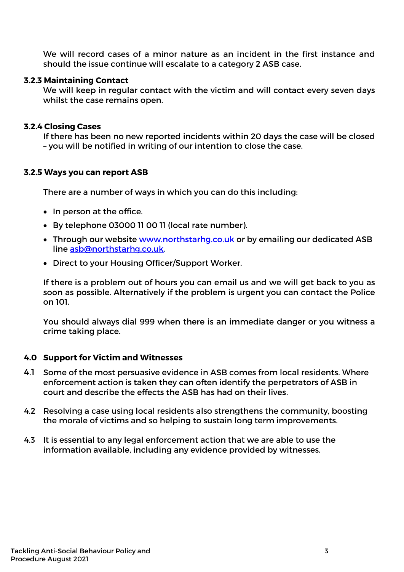We will record cases of a minor nature as an incident in the first instance and should the issue continue will escalate to a category 2 ASB case.

#### 3.2.3 Maintaining Contact

We will keep in regular contact with the victim and will contact every seven days whilst the case remains open.

#### 3.2.4 Closing Cases

If there has been no new reported incidents within 20 days the case will be closed – you will be notified in writing of our intention to close the case.

#### 3.2.5 Ways you can report ASB

There are a number of ways in which you can do this including:

- In person at the office.
- By telephone 03000 11 00 11 (local rate number).
- Through our website www.northstarhg.co.uk or by emailing our dedicated ASB line asb@northstarhg.co.uk.
- Direct to your Housing Officer/Support Worker.

If there is a problem out of hours you can email us and we will get back to you as soon as possible. Alternatively if the problem is urgent you can contact the Police on 101.

You should always dial 999 when there is an immediate danger or you witness a crime taking place.

## 4.0 Support for Victim and Witnesses

- 4.1 Some of the most persuasive evidence in ASB comes from local residents. Where enforcement action is taken they can often identify the perpetrators of ASB in court and describe the effects the ASB has had on their lives.
- 4.2 Resolving a case using local residents also strengthens the community, boosting the morale of victims and so helping to sustain long term improvements.
- 4.3 It is essential to any legal enforcement action that we are able to use the information available, including any evidence provided by witnesses.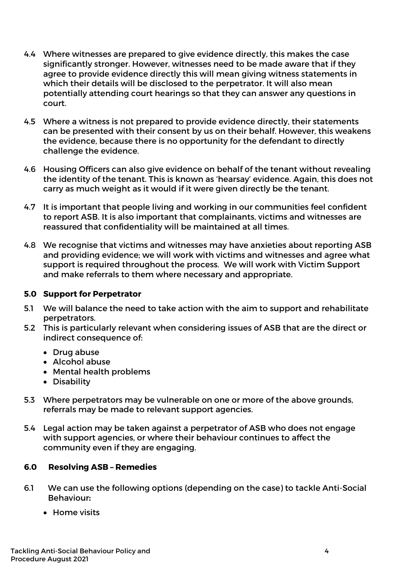- 4.4 Where witnesses are prepared to give evidence directly, this makes the case significantly stronger. However, witnesses need to be made aware that if they agree to provide evidence directly this will mean giving witness statements in which their details will be disclosed to the perpetrator. It will also mean potentially attending court hearings so that they can answer any questions in court.
- 4.5 Where a witness is not prepared to provide evidence directly, their statements can be presented with their consent by us on their behalf. However, this weakens the evidence, because there is no opportunity for the defendant to directly challenge the evidence.
- 4.6 Housing Officers can also give evidence on behalf of the tenant without revealing the identity of the tenant. This is known as 'hearsay' evidence. Again, this does not carry as much weight as it would if it were given directly be the tenant.
- 4.7 It is important that people living and working in our communities feel confident to report ASB. It is also important that complainants, victims and witnesses are reassured that confidentiality will be maintained at all times.
- 4.8 We recognise that victims and witnesses may have anxieties about reporting ASB and providing evidence; we will work with victims and witnesses and agree what support is required throughout the process. We will work with Victim Support and make referrals to them where necessary and appropriate.

## 5.0 Support for Perpetrator

- 5.1 We will balance the need to take action with the aim to support and rehabilitate perpetrators.
- 5.2 This is particularly relevant when considering issues of ASB that are the direct or indirect consequence of:
	- Drug abuse
	- Alcohol abuse
	- Mental health problems
	- Disability
- 5.3 Where perpetrators may be vulnerable on one or more of the above grounds, referrals may be made to relevant support agencies.
- 5.4 Legal action may be taken against a perpetrator of ASB who does not engage with support agencies, or where their behaviour continues to affect the community even if they are engaging.

## 6.0 Resolving ASB – Remedies

- 6.1 We can use the following options (depending on the case) to tackle Anti-Social Behaviour:
	- Home visits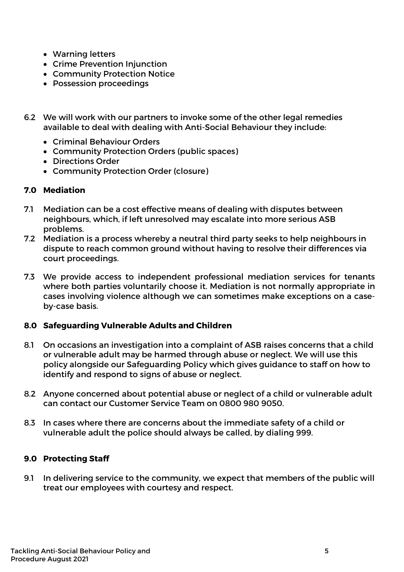- Warning letters
- Crime Prevention Injunction
- Community Protection Notice
- Possession proceedings
- 6.2 We will work with our partners to invoke some of the other legal remedies available to deal with dealing with Anti-Social Behaviour they include:
	- Criminal Behaviour Orders
	- Community Protection Orders (public spaces)
	- Directions Order
	- Community Protection Order (closure)

## 7.0 Mediation

- 7.1 Mediation can be a cost effective means of dealing with disputes between neighbours, which, if left unresolved may escalate into more serious ASB problems.
- 7.2 Mediation is a process whereby a neutral third party seeks to help neighbours in dispute to reach common ground without having to resolve their differences via court proceedings.
- 7.3 We provide access to independent professional mediation services for tenants where both parties voluntarily choose it. Mediation is not normally appropriate in cases involving violence although we can sometimes make exceptions on a caseby-case basis.

# 8.0 Safeguarding Vulnerable Adults and Children

- 8.1 On occasions an investigation into a complaint of ASB raises concerns that a child or vulnerable adult may be harmed through abuse or neglect. We will use this policy alongside our Safeguarding Policy which gives guidance to staff on how to identify and respond to signs of abuse or neglect.
- 8.2 Anyone concerned about potential abuse or neglect of a child or vulnerable adult can contact our Customer Service Team on 0800 980 9050.
- 8.3 In cases where there are concerns about the immediate safety of a child or vulnerable adult the police should always be called, by dialing 999.

## 9.0 Protecting Staff

9.1 In delivering service to the community, we expect that members of the public will treat our employees with courtesy and respect.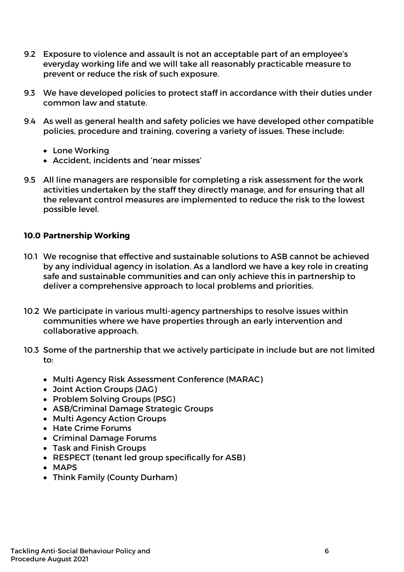- 9.2 Exposure to violence and assault is not an acceptable part of an employee's everyday working life and we will take all reasonably practicable measure to prevent or reduce the risk of such exposure.
- 9.3 We have developed policies to protect staff in accordance with their duties under common law and statute.
- 9.4 As well as general health and safety policies we have developed other compatible policies, procedure and training, covering a variety of issues. These include:
	- Lone Working
	- Accident, incidents and 'near misses'
- 9.5 All line managers are responsible for completing a risk assessment for the work activities undertaken by the staff they directly manage, and for ensuring that all the relevant control measures are implemented to reduce the risk to the lowest possible level.

## 10.0 Partnership Working

- 10.1 We recognise that effective and sustainable solutions to ASB cannot be achieved by any individual agency in isolation. As a landlord we have a key role in creating safe and sustainable communities and can only achieve this in partnership to deliver a comprehensive approach to local problems and priorities.
- 10.2 We participate in various multi-agency partnerships to resolve issues within communities where we have properties through an early intervention and collaborative approach.
- 10.3 Some of the partnership that we actively participate in include but are not limited to:
	- Multi Agency Risk Assessment Conference (MARAC)
	- Joint Action Groups (JAG)
	- Problem Solving Groups (PSG)
	- ASB/Criminal Damage Strategic Groups
	- Multi Agency Action Groups
	- Hate Crime Forums
	- Criminal Damage Forums
	- Task and Finish Groups
	- RESPECT (tenant led group specifically for ASB)
	- MAPS
	- Think Family (County Durham)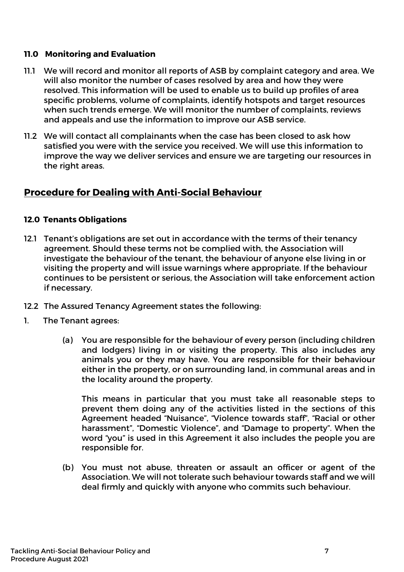## 11.0 Monitoring and Evaluation

- 11.1 We will record and monitor all reports of ASB by complaint category and area. We will also monitor the number of cases resolved by area and how they were resolved. This information will be used to enable us to build up profiles of area specific problems, volume of complaints, identify hotspots and target resources when such trends emerge. We will monitor the number of complaints, reviews and appeals and use the information to improve our ASB service.
- 11.2 We will contact all complainants when the case has been closed to ask how satisfied you were with the service you received. We will use this information to improve the way we deliver services and ensure we are targeting our resources in the right areas.

# Procedure for Dealing with Anti-Social Behaviour

## 12.0 Tenants Obligations

- 12.1 Tenant's obligations are set out in accordance with the terms of their tenancy agreement. Should these terms not be complied with, the Association will investigate the behaviour of the tenant, the behaviour of anyone else living in or visiting the property and will issue warnings where appropriate. If the behaviour continues to be persistent or serious, the Association will take enforcement action if necessary.
- 12.2 The Assured Tenancy Agreement states the following:
- 1. The Tenant agrees:
	- (a) You are responsible for the behaviour of every person (including children and lodgers) living in or visiting the property. This also includes any animals you or they may have. You are responsible for their behaviour either in the property, or on surrounding land, in communal areas and in the locality around the property.

 This means in particular that you must take all reasonable steps to prevent them doing any of the activities listed in the sections of this Agreement headed "Nuisance", "Violence towards staff", "Racial or other harassment", "Domestic Violence", and "Damage to property". When the word "you" is used in this Agreement it also includes the people you are responsible for.

(b) You must not abuse, threaten or assault an officer or agent of the Association. We will not tolerate such behaviour towards staff and we will deal firmly and quickly with anyone who commits such behaviour.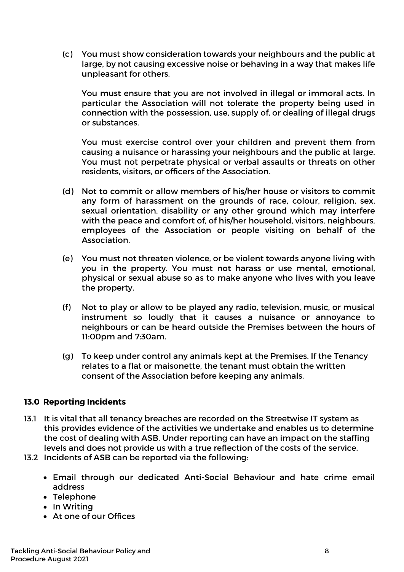(c) You must show consideration towards your neighbours and the public at large, by not causing excessive noise or behaving in a way that makes life unpleasant for others.

 You must ensure that you are not involved in illegal or immoral acts. In particular the Association will not tolerate the property being used in connection with the possession, use, supply of, or dealing of illegal drugs or substances.

 You must exercise control over your children and prevent them from causing a nuisance or harassing your neighbours and the public at large. You must not perpetrate physical or verbal assaults or threats on other residents, visitors, or officers of the Association.

- (d) Not to commit or allow members of his/her house or visitors to commit any form of harassment on the grounds of race, colour, religion, sex, sexual orientation, disability or any other ground which may interfere with the peace and comfort of, of his/her household, visitors, neighbours, employees of the Association or people visiting on behalf of the Association.
- (e) You must not threaten violence, or be violent towards anyone living with you in the property. You must not harass or use mental, emotional, physical or sexual abuse so as to make anyone who lives with you leave the property.
- (f) Not to play or allow to be played any radio, television, music, or musical instrument so loudly that it causes a nuisance or annoyance to neighbours or can be heard outside the Premises between the hours of 11:00pm and 7:30am.
- (g) To keep under control any animals kept at the Premises. If the Tenancy relates to a flat or maisonette, the tenant must obtain the written consent of the Association before keeping any animals.

## 13.0 Reporting Incidents

- 13.1 It is vital that all tenancy breaches are recorded on the Streetwise IT system as this provides evidence of the activities we undertake and enables us to determine the cost of dealing with ASB. Under reporting can have an impact on the staffing levels and does not provide us with a true reflection of the costs of the service.
- 13.2 Incidents of ASB can be reported via the following:
	- Email through our dedicated Anti-Social Behaviour and hate crime email address
	- Telephone
	- In Writina
	- At one of our Offices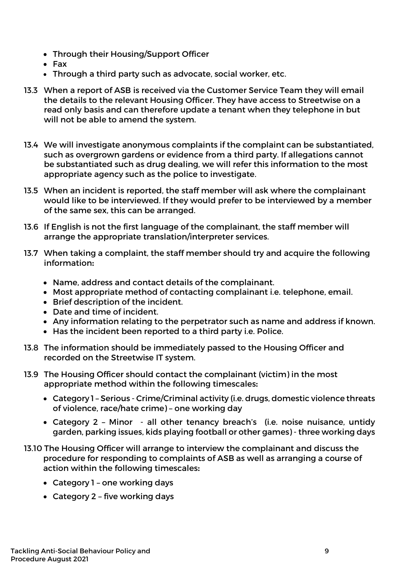- Through their Housing/Support Officer
- Fax
- Through a third party such as advocate, social worker, etc.
- 13.3 When a report of ASB is received via the Customer Service Team they will email the details to the relevant Housing Officer. They have access to Streetwise on a read only basis and can therefore update a tenant when they telephone in but will not be able to amend the system.
- 13.4 We will investigate anonymous complaints if the complaint can be substantiated, such as overgrown gardens or evidence from a third party. If allegations cannot be substantiated such as drug dealing, we will refer this information to the most appropriate agency such as the police to investigate.
- 13.5 When an incident is reported, the staff member will ask where the complainant would like to be interviewed. If they would prefer to be interviewed by a member of the same sex, this can be arranged.
- 13.6 If English is not the first language of the complainant, the staff member will arrange the appropriate translation/interpreter services.
- 13.7 When taking a complaint, the staff member should try and acquire the following information:
	- Name, address and contact details of the complainant.
	- Most appropriate method of contacting complainant i.e. telephone, email.
	- Brief description of the incident.
	- Date and time of incident.
	- Any information relating to the perpetrator such as name and address if known.
	- Has the incident been reported to a third party i.e. Police.
- 13.8 The information should be immediately passed to the Housing Officer and recorded on the Streetwise IT system.
- 13.9 The Housing Officer should contact the complainant (victim) in the most appropriate method within the following timescales:
	- Category 1 Serious Crime/Criminal activity (i.e. drugs, domestic violence threats of violence, race/hate crime) – one working day
	- Category 2 Minor all other tenancy breach's (i.e. noise nuisance, untidy garden, parking issues, kids playing football or other games) - three working days
- 13.10 The Housing Officer will arrange to interview the complainant and discuss the procedure for responding to complaints of ASB as well as arranging a course of action within the following timescales:
	- Category 1 one working days
	- Category 2 five working days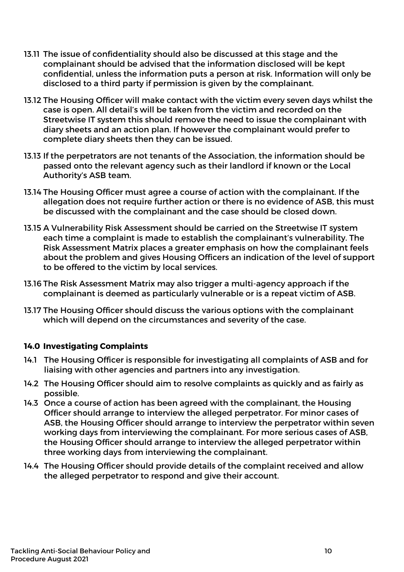- 13.11 The issue of confidentiality should also be discussed at this stage and the complainant should be advised that the information disclosed will be kept confidential, unless the information puts a person at risk. Information will only be disclosed to a third party if permission is given by the complainant.
- 13.12 The Housing Officer will make contact with the victim every seven days whilst the case is open. All detail's will be taken from the victim and recorded on the Streetwise IT system this should remove the need to issue the complainant with diary sheets and an action plan. If however the complainant would prefer to complete diary sheets then they can be issued.
- 13.13 If the perpetrators are not tenants of the Association, the information should be passed onto the relevant agency such as their landlord if known or the Local Authority's ASB team.
- 13.14 The Housing Officer must agree a course of action with the complainant. If the allegation does not require further action or there is no evidence of ASB, this must be discussed with the complainant and the case should be closed down.
- 13.15 A Vulnerability Risk Assessment should be carried on the Streetwise IT system each time a complaint is made to establish the complainant's vulnerability. The Risk Assessment Matrix places a greater emphasis on how the complainant feels about the problem and gives Housing Officers an indication of the level of support to be offered to the victim by local services.
- 13.16 The Risk Assessment Matrix may also trigger a multi-agency approach if the complainant is deemed as particularly vulnerable or is a repeat victim of ASB.
- 13.17 The Housing Officer should discuss the various options with the complainant which will depend on the circumstances and severity of the case.

## 14.0 Investigating Complaints

- 14.1 The Housing Officer is responsible for investigating all complaints of ASB and for liaising with other agencies and partners into any investigation.
- 14.2 The Housing Officer should aim to resolve complaints as quickly and as fairly as possible.
- 14.3 Once a course of action has been agreed with the complainant, the Housing Officer should arrange to interview the alleged perpetrator. For minor cases of ASB, the Housing Officer should arrange to interview the perpetrator within seven working days from interviewing the complainant. For more serious cases of ASB, the Housing Officer should arrange to interview the alleged perpetrator within three working days from interviewing the complainant.
- 14.4 The Housing Officer should provide details of the complaint received and allow the alleged perpetrator to respond and give their account.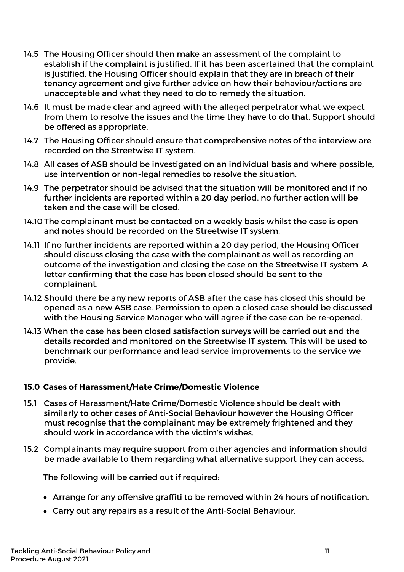- 14.5 The Housing Officer should then make an assessment of the complaint to establish if the complaint is justified. If it has been ascertained that the complaint is justified, the Housing Officer should explain that they are in breach of their tenancy agreement and give further advice on how their behaviour/actions are unacceptable and what they need to do to remedy the situation.
- 14.6 It must be made clear and agreed with the alleged perpetrator what we expect from them to resolve the issues and the time they have to do that. Support should be offered as appropriate.
- 14.7 The Housing Officer should ensure that comprehensive notes of the interview are recorded on the Streetwise IT system.
- 14.8 All cases of ASB should be investigated on an individual basis and where possible, use intervention or non-legal remedies to resolve the situation.
- 14.9 The perpetrator should be advised that the situation will be monitored and if no further incidents are reported within a 20 day period, no further action will be taken and the case will be closed.
- 14.10The complainant must be contacted on a weekly basis whilst the case is open and notes should be recorded on the Streetwise IT system.
- 14.11 If no further incidents are reported within a 20 day period, the Housing Officer should discuss closing the case with the complainant as well as recording an outcome of the investigation and closing the case on the Streetwise IT system. A letter confirming that the case has been closed should be sent to the complainant.
- 14.12 Should there be any new reports of ASB after the case has closed this should be opened as a new ASB case. Permission to open a closed case should be discussed with the Housing Service Manager who will agree if the case can be re-opened.
- 14.13 When the case has been closed satisfaction surveys will be carried out and the details recorded and monitored on the Streetwise IT system. This will be used to benchmark our performance and lead service improvements to the service we provide.

## 15.0 Cases of Harassment/Hate Crime/Domestic Violence

- 15.1 Cases of Harassment/Hate Crime/Domestic Violence should be dealt with similarly to other cases of Anti-Social Behaviour however the Housing Officer must recognise that the complainant may be extremely frightened and they should work in accordance with the victim's wishes.
- 15.2 Complainants may require support from other agencies and information should be made available to them regarding what alternative support they can access.

The following will be carried out if required:

- Arrange for any offensive graffiti to be removed within 24 hours of notification.
- Carry out any repairs as a result of the Anti-Social Behaviour.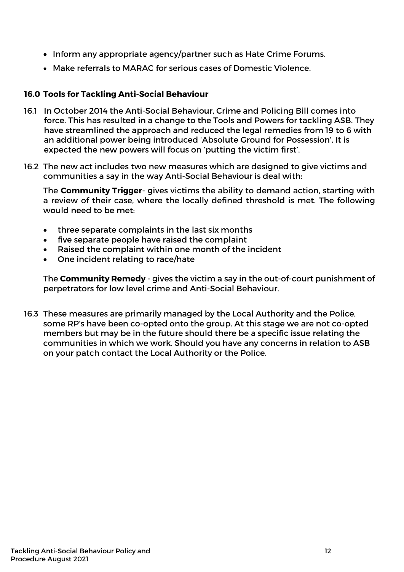- Inform any appropriate agency/partner such as Hate Crime Forums.
- Make referrals to MARAC for serious cases of Domestic Violence.

# 16.0 Tools for Tackling Anti-Social Behaviour

- 16.1 In October 2014 the Anti-Social Behaviour, Crime and Policing Bill comes into force. This has resulted in a change to the Tools and Powers for tackling ASB. They have streamlined the approach and reduced the legal remedies from 19 to 6 with an additional power being introduced 'Absolute Ground for Possession'. It is expected the new powers will focus on 'putting the victim first'.
- 16.2 The new act includes two new measures which are designed to give victims and communities a say in the way Anti-Social Behaviour is deal with:

The **Community Trigger**- gives victims the ability to demand action, starting with a review of their case, where the locally defined threshold is met. The following would need to be met:

- three separate complaints in the last six months
- five separate people have raised the complaint
- Raised the complaint within one month of the incident
- One incident relating to race/hate

The **Community Remedy** - gives the victim a say in the out-of-court punishment of perpetrators for low level crime and Anti-Social Behaviour.

16.3 These measures are primarily managed by the Local Authority and the Police, some RP's have been co-opted onto the group. At this stage we are not co-opted members but may be in the future should there be a specific issue relating the communities in which we work. Should you have any concerns in relation to ASB on your patch contact the Local Authority or the Police.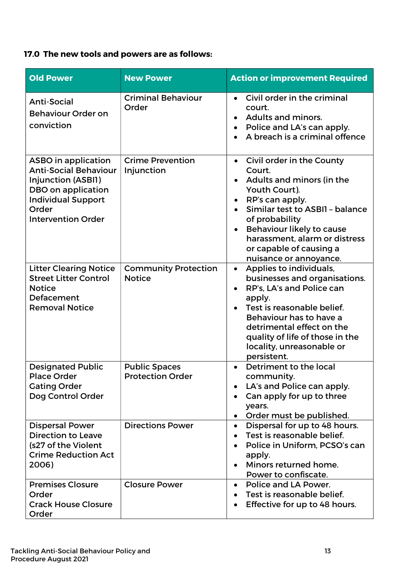# 17.0 The new tools and powers are as follows:

| <b>Old Power</b>                                                                                                                                                                        | <b>New Power</b>                                | <b>Action or improvement Required</b>                                                                                                                                                                                                                                                                    |
|-----------------------------------------------------------------------------------------------------------------------------------------------------------------------------------------|-------------------------------------------------|----------------------------------------------------------------------------------------------------------------------------------------------------------------------------------------------------------------------------------------------------------------------------------------------------------|
| <b>Anti-Social</b><br><b>Behaviour Order on</b><br>conviction                                                                                                                           | <b>Criminal Behaviour</b><br>Order              | Civil order in the criminal<br>$\bullet$<br>court.<br>Adults and minors.<br>$\bullet$<br>Police and LA's can apply.<br>$\bullet$<br>A breach is a criminal offence                                                                                                                                       |
| <b>ASBO</b> in application<br><b>Anti-Social Behaviour</b><br><b>Injunction (ASBII)</b><br><b>DBO</b> on application<br><b>Individual Support</b><br>Order<br><b>Intervention Order</b> | <b>Crime Prevention</b><br>Injunction           | • Civil order in the County<br>Court.<br>Adults and minors (in the<br>Youth Court).<br>RP's can apply.<br>$\bullet$<br>Similar test to ASBII - balance<br>of probability<br>Behaviour likely to cause<br>$\bullet$<br>harassment, alarm or distress<br>or capable of causing a<br>nuisance or annoyance. |
| <b>Litter Clearing Notice</b><br><b>Street Litter Control</b><br><b>Notice</b><br>Defacement<br><b>Removal Notice</b>                                                                   | <b>Community Protection</b><br><b>Notice</b>    | Applies to individuals,<br>$\bullet$<br>businesses and organisations.<br>RP's, LA's and Police can<br>apply.<br>Test is reasonable belief.<br>Behaviour has to have a<br>detrimental effect on the<br>quality of life of those in the<br>locality, unreasonable or<br>persistent.                        |
| <b>Designated Public</b><br><b>Place Order</b><br><b>Gating Order</b><br>Dog Control Order                                                                                              | <b>Public Spaces</b><br><b>Protection Order</b> | Detriment to the local<br>$\bullet$<br>community.<br>LA's and Police can apply.<br>Can apply for up to three<br>$\bullet$<br>years.<br>Order must be published.<br>$\bullet$                                                                                                                             |
| <b>Dispersal Power</b><br><b>Direction to Leave</b><br>(s27 of the Violent<br><b>Crime Reduction Act</b><br>2006)                                                                       | <b>Directions Power</b>                         | Dispersal for up to 48 hours.<br>$\bullet$<br>Test is reasonable belief.<br>Police in Uniform, PCSO's can<br>$\bullet$<br>apply.<br>Minors returned home.<br>$\bullet$<br>Power to confiscate.                                                                                                           |
| <b>Premises Closure</b><br>Order<br><b>Crack House Closure</b><br>Order                                                                                                                 | <b>Closure Power</b>                            | Police and LA Power.<br>$\bullet$<br>Test is reasonable belief.<br>$\bullet$<br>Effective for up to 48 hours.<br>$\bullet$                                                                                                                                                                               |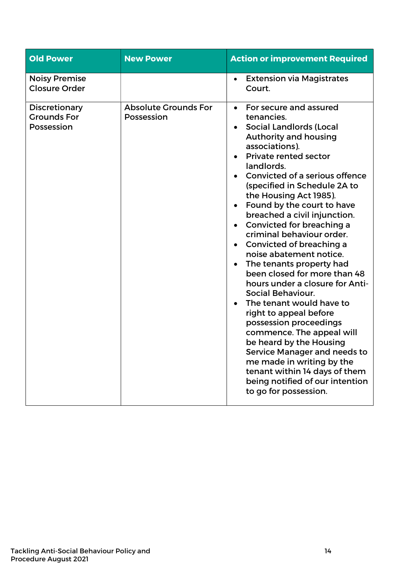| <b>Old Power</b>                                         | <b>New Power</b>                          | <b>Action or improvement Required</b>                                                                                                                                                                                                                                                                                                                                                                                                                                                                                                                                                                                                                                                                                                                                                                                                                                                       |
|----------------------------------------------------------|-------------------------------------------|---------------------------------------------------------------------------------------------------------------------------------------------------------------------------------------------------------------------------------------------------------------------------------------------------------------------------------------------------------------------------------------------------------------------------------------------------------------------------------------------------------------------------------------------------------------------------------------------------------------------------------------------------------------------------------------------------------------------------------------------------------------------------------------------------------------------------------------------------------------------------------------------|
| <b>Noisy Premise</b><br><b>Closure Order</b>             |                                           | <b>Extension via Magistrates</b><br>$\bullet$<br>Court.                                                                                                                                                                                                                                                                                                                                                                                                                                                                                                                                                                                                                                                                                                                                                                                                                                     |
| <b>Discretionary</b><br><b>Grounds For</b><br>Possession | <b>Absolute Grounds For</b><br>Possession | For secure and assured<br>$\bullet$<br>tenancies.<br><b>Social Landlords (Local</b><br><b>Authority and housing</b><br>associations).<br><b>Private rented sector</b><br>landlords.<br>Convicted of a serious offence<br>(specified in Schedule 2A to<br>the Housing Act 1985).<br>Found by the court to have<br>breached a civil injunction.<br>Convicted for breaching a<br>criminal behaviour order.<br>Convicted of breaching a<br>noise abatement notice.<br>The tenants property had<br>been closed for more than 48<br>hours under a closure for Anti-<br><b>Social Behaviour.</b><br>The tenant would have to<br>right to appeal before<br>possession proceedings<br>commence. The appeal will<br>be heard by the Housing<br>Service Manager and needs to<br>me made in writing by the<br>tenant within 14 days of them<br>being notified of our intention<br>to go for possession. |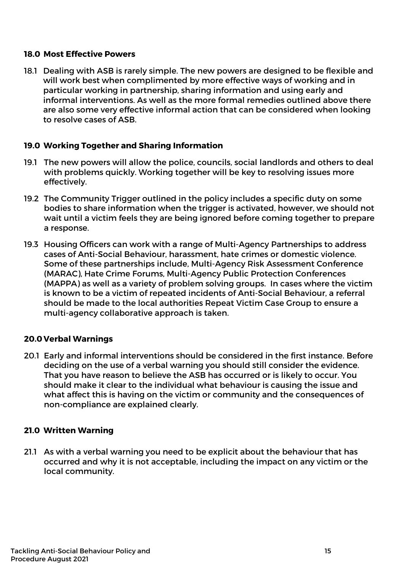## 18.0 Most Effective Powers

18.1 Dealing with ASB is rarely simple. The new powers are designed to be flexible and will work best when complimented by more effective ways of working and in particular working in partnership, sharing information and using early and informal interventions. As well as the more formal remedies outlined above there are also some very effective informal action that can be considered when looking to resolve cases of ASB.

# 19.0 Working Together and Sharing Information

- 19.1 The new powers will allow the police, councils, social landlords and others to deal with problems quickly. Working together will be key to resolving issues more effectively.
- 19.2 The Community Trigger outlined in the policy includes a specific duty on some bodies to share information when the trigger is activated, however, we should not wait until a victim feels they are being ignored before coming together to prepare a response.
- 19.3 Housing Officers can work with a range of Multi-Agency Partnerships to address cases of Anti-Social Behaviour, harassment, hate crimes or domestic violence. Some of these partnerships include, Multi-Agency Risk Assessment Conference (MARAC), Hate Crime Forums, Multi-Agency Public Protection Conferences (MAPPA) as well as a variety of problem solving groups. In cases where the victim is known to be a victim of repeated incidents of Anti-Social Behaviour, a referral should be made to the local authorities Repeat Victim Case Group to ensure a multi-agency collaborative approach is taken.

## 20.0 Verbal Warnings

20.1 Early and informal interventions should be considered in the first instance. Before deciding on the use of a verbal warning you should still consider the evidence. That you have reason to believe the ASB has occurred or is likely to occur. You should make it clear to the individual what behaviour is causing the issue and what affect this is having on the victim or community and the consequences of non-compliance are explained clearly.

## 21.0 Written Warning

21.1 As with a verbal warning you need to be explicit about the behaviour that has occurred and why it is not acceptable, including the impact on any victim or the local community.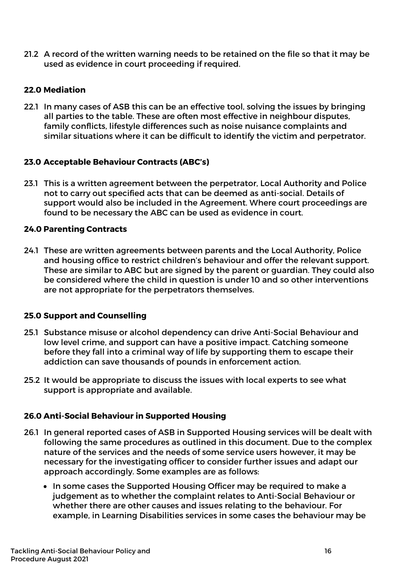21.2 A record of the written warning needs to be retained on the file so that it may be used as evidence in court proceeding if required.

## 22.0 Mediation

22.1 In many cases of ASB this can be an effective tool, solving the issues by bringing all parties to the table. These are often most effective in neighbour disputes, family conflicts, lifestyle differences such as noise nuisance complaints and similar situations where it can be difficult to identify the victim and perpetrator.

## 23.0 Acceptable Behaviour Contracts (ABC's)

23.1 This is a written agreement between the perpetrator, Local Authority and Police not to carry out specified acts that can be deemed as anti-social. Details of support would also be included in the Agreement. Where court proceedings are found to be necessary the ABC can be used as evidence in court.

## 24.0 Parenting Contracts

24.1 These are written agreements between parents and the Local Authority, Police and housing office to restrict children's behaviour and offer the relevant support. These are similar to ABC but are signed by the parent or guardian. They could also be considered where the child in question is under 10 and so other interventions are not appropriate for the perpetrators themselves.

## 25.0 Support and Counselling

- 25.1 Substance misuse or alcohol dependency can drive Anti-Social Behaviour and low level crime, and support can have a positive impact. Catching someone before they fall into a criminal way of life by supporting them to escape their addiction can save thousands of pounds in enforcement action.
- 25.2 It would be appropriate to discuss the issues with local experts to see what support is appropriate and available.

## 26.0 Anti-Social Behaviour in Supported Housing

- 26.1 In general reported cases of ASB in Supported Housing services will be dealt with following the same procedures as outlined in this document. Due to the complex nature of the services and the needs of some service users however, it may be necessary for the investigating officer to consider further issues and adapt our approach accordingly. Some examples are as follows:
	- In some cases the Supported Housing Officer may be required to make a judgement as to whether the complaint relates to Anti-Social Behaviour or whether there are other causes and issues relating to the behaviour. For example, in Learning Disabilities services in some cases the behaviour may be